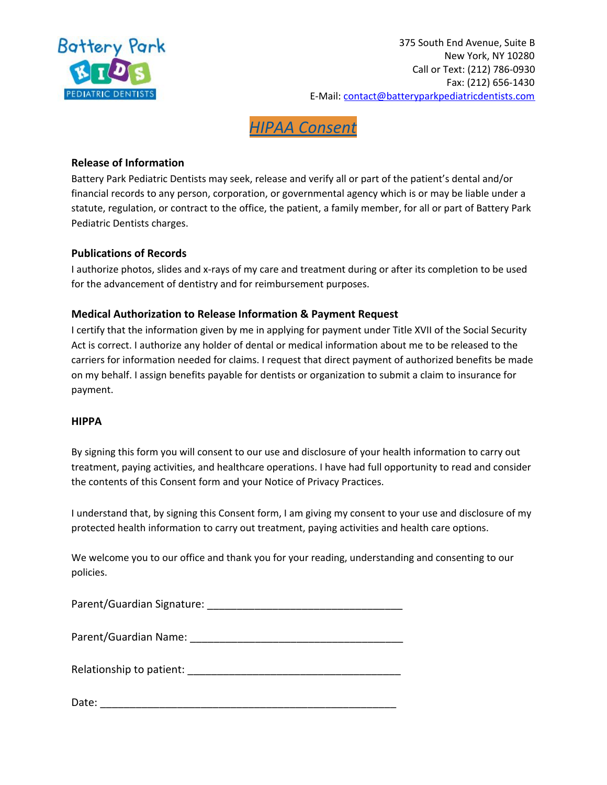

# *HIPAA Consent*

## **Release of Information**

Battery Park Pediatric Dentists may seek, release and verify all or part of the patient's dental and/or financial records to any person, corporation, or governmental agency which is or may be liable under a statute, regulation, or contract to the office, the patient, a family member, for all or part of Battery Park Pediatric Dentists charges.

#### **Publications of Records**

I authorize photos, slides and x-rays of my care and treatment during or after its completion to be used for the advancement of dentistry and for reimbursement purposes.

### **Medical Authorization to Release Information & Payment Request**

I certify that the information given by me in applying for payment under Title XVII of the Social Security Act is correct. I authorize any holder of dental or medical information about me to be released to the carriers for information needed for claims. I request that direct payment of authorized benefits be made on my behalf. I assign benefits payable for dentists or organization to submit a claim to insurance for payment.

#### **HIPPA**

By signing this form you will consent to our use and disclosure of your health information to carry out treatment, paying activities, and healthcare operations. I have had full opportunity to read and consider the contents of this Consent form and your Notice of Privacy Practices.

I understand that, by signing this Consent form, I am giving my consent to your use and disclosure of my protected health information to carry out treatment, paying activities and health care options.

We welcome you to our office and thank you for your reading, understanding and consenting to our policies.

Parent/Guardian Signature: \_\_\_\_\_\_\_\_\_\_\_\_\_\_\_\_\_\_\_\_\_\_\_\_\_\_\_\_\_\_\_\_\_

Parent/Guardian Name:

Relationship to patient: Letter and the set of the set of the set of the set of the set of the set of the set o

Date: \_\_\_\_\_\_\_\_\_\_\_\_\_\_\_\_\_\_\_\_\_\_\_\_\_\_\_\_\_\_\_\_\_\_\_\_\_\_\_\_\_\_\_\_\_\_\_\_\_\_